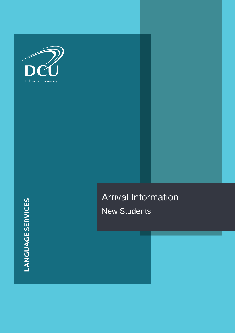

Arrival Information New Students

**LANGUAGE SERVICES**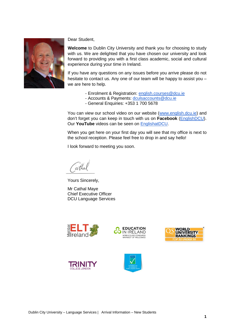

Dear Student,

**Welcome** to Dublin City University and thank you for choosing to study with us. We are delighted that you have chosen our university and look forward to providing you with a first class academic, social and cultural experience during your time in Ireland.

If you have any questions on any issues before you arrive please do not hesitate to contact us. Any one of our team will be happy to assist you – we are here to help.

- Enrolment & Registration: [english.courses@dcu.ie](mailto:english.courses@dcu.ie)
- Accounts & Payments: [dculsaccounts@dcu.ie](mailto:dculsaccounts@dcu.ie)
- General Enquiries: +353 1 700 5678

You can view our school video on our website [\(www.english.dcu.ie\)](http://www.english.dcu.ie/) and don't forget you can keep in touch with us on **Facebook** [\(EnglishDCU\)](https://www.facebook.com/EnglishDCU/). Our **YouTube** videos can be seen on [EnglishatDCU.](https://www.youtube.com/user/EnglishatDCU)

When you get here on your first day you will see that my office is next to the school reception. Please feel free to drop in and say hello!

I look forward to meeting you soon.

athal

Yours Sincerely,

Mr Cathal Maye Chief Executive Officer DCU Language Services









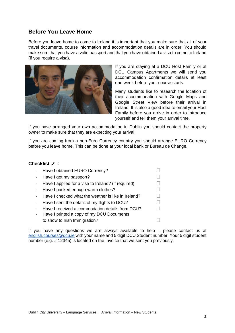## **Before You Leave Home**

Before you leave home to come to Ireland it is important that you make sure that all of your travel documents, course information and accommodation details are in order. You should make sure that you have a valid passport and that you have obtained a visa to come to Ireland (if you require a visa).



If you are staying at a DCU Host Family or at DCU Campus Apartments we will send you accommodation confirmation details at least one week before your course starts.

Many students like to research the location of their accommodation with Google Maps and Google Street View before their arrival in Ireland. It is also a good idea to email your Host Family before you arrive in order to introduce yourself and tell them your arrival time.

If you have arranged your own accommodation in Dublin you should contact the property owner to make sure that they are expecting your arrival.

If you are coming from a non-Euro Currency country you should arrange EURO Currency before you leave home. This can be done at your local bank or Bureau de Change.

### **Checklist** ✓ :

| Have I obtained EURO Currency?                      |  |
|-----------------------------------------------------|--|
| Have I got my passport?                             |  |
| Have I applied for a visa to Ireland? (if required) |  |
| Have I packed enough warm clothes?                  |  |
| Have I checked what the weather is like in Ireland? |  |
| Have I sent the details of my flights to DCU?       |  |
| Have I received accommodation details from DCU?     |  |
| Have I printed a copy of my DCU Documents           |  |
| to show to Irish Immigration?                       |  |
|                                                     |  |

If you have any questions we are always available to help – please contact us at [english.courses@dcu.ie](mailto:english.courses@dcu.ie) with your name and 5 digit DCU Student number. Your 5 digit student number (e.g. # 12345) is located on the Invoice that we sent you previously.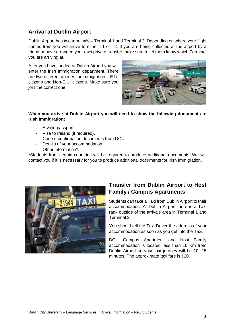# **Arrival at Dublin Airport**

Dublin Airport has two terminals – Terminal 1 and Terminal 2. Depending on where your flight comes from you will arrive to either T1 or T2. If you are being collected at the airport by a friend or have arranged your own private transfer make sure to let them know which Terminal you are arriving at.

After you have landed at Dublin Airport you will enter the Irish Immigration department. There are two different queues for immigration – E.U. citizens and Non-E.U. citizens. Make sure you join the correct one.



#### **When you arrive at Dublin Airport you will need to show the following documents to Irish Immigration:**

- A valid passport.
- Visa to Ireland (if required).
- Course confirmation documents from DCU.
- Details of your accommodation.
- Other information\*.

\*Students from certain countries will be required to produce additional documents. We will contact you if it is necessary for you to produce additional documents for Irish Immigration.



# **Transfer from Dublin Airport to Host Family / Campus Apartments**

Students can take a Taxi from Dublin Airport to their accommodation. At Dublin Airport there is a Taxi rank outside of the arrivals area in Terminal 1 and Terminal 2.

You should tell the Taxi Driver the address of your accommodation as soon as you get into the Taxi.

DCU Campus Apartment and Host Family accommodation is located less than 10 Km from Dublin Airport so your taxi journey will be 10- 15 minutes. The approximate taxi fare is €20.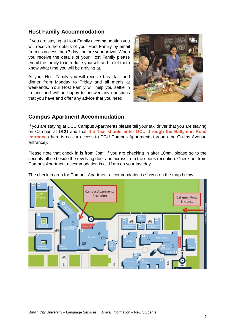### **Host Family Accommodation**

If you are staying at Host Family accommodation you will receive the details of your Host Family by email from us no less than 7 days before your arrival. When you receive the details of your Host Family please email the family to introduce yourself and to let them know what time you will be arriving at.

At your Host Family you will receive breakfast and dinner from Monday to Friday and all meals at weekends. Your Host Family will help you settle in Ireland and will be happy to answer any questions that you have and offer any advice that you need.



### **Campus Apartment Accommodation**

If you are staying at DCU Campus Apartments please tell your taxi driver that you are staying on Campus at DCU and that **the Taxi should enter DCU through the Ballymun Road entrance** (there is no car access to DCU Campus Apartments through the Collins Avenue entrance).

Please note that check in is from 3pm. If you are checking in after 10pm, please go to the security office beside the revolving door and across from the sports reception. Check out from Campus Apartment accommodation is at 11am on your last day.

The check in area for Campus Apartment accommodation is shown on the map below:

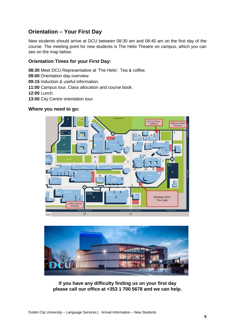# **Orientation – Your First Day**

New students should arrive at DCU between 08:30 am and 08:45 am on the first day of the course. The meeting point for new students is The Helix Theatre on campus, which you can see on the map below.

### **Orientation Times for your First Day:**

**08:30** Meet DCU Representative at 'The Helix'. Tea & coffee. **09:00** Orientation day overview. **09:15** Induction & useful information. **11:00** Campus tour, Class allocation and course book. **12:00** Lunch. **13:00** City Centre orientation tour. **Where you need to go:**





**If you have any difficulty finding us on your first day please call our office at +353 1 700 5678 and we can help.**